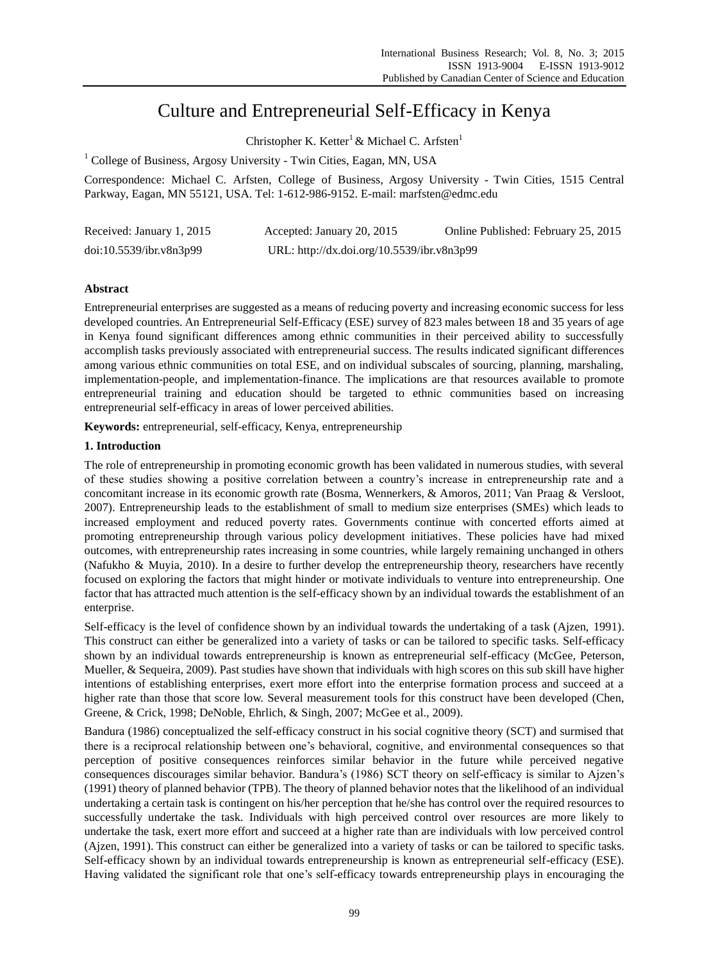# Culture and Entrepreneurial Self-Efficacy in Kenya

Christopher K. Ketter<sup>1</sup> & Michael C. Arfsten<sup>1</sup>

<sup>1</sup> College of Business, Argosy University - Twin Cities, Eagan, MN, USA

Correspondence: Michael C. Arfsten, College of Business, Argosy University - Twin Cities, 1515 Central Parkway, Eagan, MN 55121, USA. Tel: 1-612-986-9152. E-mail: marfsten@edmc.edu

| Received: January 1, 2015 | Accepted: January 20, 2015                 | Online Published: February 25, 2015 |
|---------------------------|--------------------------------------------|-------------------------------------|
| doi:10.5539/ibr.v8n3p99   | URL: http://dx.doi.org/10.5539/ibr.v8n3p99 |                                     |

## **Abstract**

Entrepreneurial enterprises are suggested as a means of reducing poverty and increasing economic success for less developed countries. An Entrepreneurial Self-Efficacy (ESE) survey of 823 males between 18 and 35 years of age in Kenya found significant differences among ethnic communities in their perceived ability to successfully accomplish tasks previously associated with entrepreneurial success. The results indicated significant differences among various ethnic communities on total ESE, and on individual subscales of sourcing, planning, marshaling, implementation-people, and implementation-finance. The implications are that resources available to promote entrepreneurial training and education should be targeted to ethnic communities based on increasing entrepreneurial self-efficacy in areas of lower perceived abilities.

**Keywords:** entrepreneurial, self-efficacy, Kenya, entrepreneurship

## **1. Introduction**

The role of entrepreneurship in promoting economic growth has been validated in numerous studies, with several of these studies showing a positive correlation between a country's increase in entrepreneurship rate and a concomitant increase in its economic growth rate (Bosma, Wennerkers, & Amoros, 2011; Van Praag & Versloot, 2007). Entrepreneurship leads to the establishment of small to medium size enterprises (SMEs) which leads to increased employment and reduced poverty rates. Governments continue with concerted efforts aimed at promoting entrepreneurship through various policy development initiatives. These policies have had mixed outcomes, with entrepreneurship rates increasing in some countries, while largely remaining unchanged in others (Nafukho & Muyia, 2010). In a desire to further develop the entrepreneurship theory, researchers have recently focused on exploring the factors that might hinder or motivate individuals to venture into entrepreneurship. One factor that has attracted much attention is the self-efficacy shown by an individual towards the establishment of an enterprise.

Self-efficacy is the level of confidence shown by an individual towards the undertaking of a task (Ajzen, 1991). This construct can either be generalized into a variety of tasks or can be tailored to specific tasks. Self-efficacy shown by an individual towards entrepreneurship is known as entrepreneurial self-efficacy (McGee, Peterson, Mueller, & Sequeira, 2009). Past studies have shown that individuals with high scores on this sub skill have higher intentions of establishing enterprises, exert more effort into the enterprise formation process and succeed at a higher rate than those that score low. Several measurement tools for this construct have been developed (Chen, Greene, & Crick, 1998; DeNoble, Ehrlich, & Singh, 2007; McGee et al., 2009).

Bandura (1986) conceptualized the self-efficacy construct in his social cognitive theory (SCT) and surmised that there is a reciprocal relationship between one's behavioral, cognitive, and environmental consequences so that perception of positive consequences reinforces similar behavior in the future while perceived negative consequences discourages similar behavior. Bandura's (1986) SCT theory on self-efficacy is similar to Ajzen's (1991) theory of planned behavior (TPB). The theory of planned behavior notes that the likelihood of an individual undertaking a certain task is contingent on his/her perception that he/she has control over the required resources to successfully undertake the task. Individuals with high perceived control over resources are more likely to undertake the task, exert more effort and succeed at a higher rate than are individuals with low perceived control (Ajzen, 1991). This construct can either be generalized into a variety of tasks or can be tailored to specific tasks. Self-efficacy shown by an individual towards entrepreneurship is known as entrepreneurial self-efficacy (ESE). Having validated the significant role that one's self-efficacy towards entrepreneurship plays in encouraging the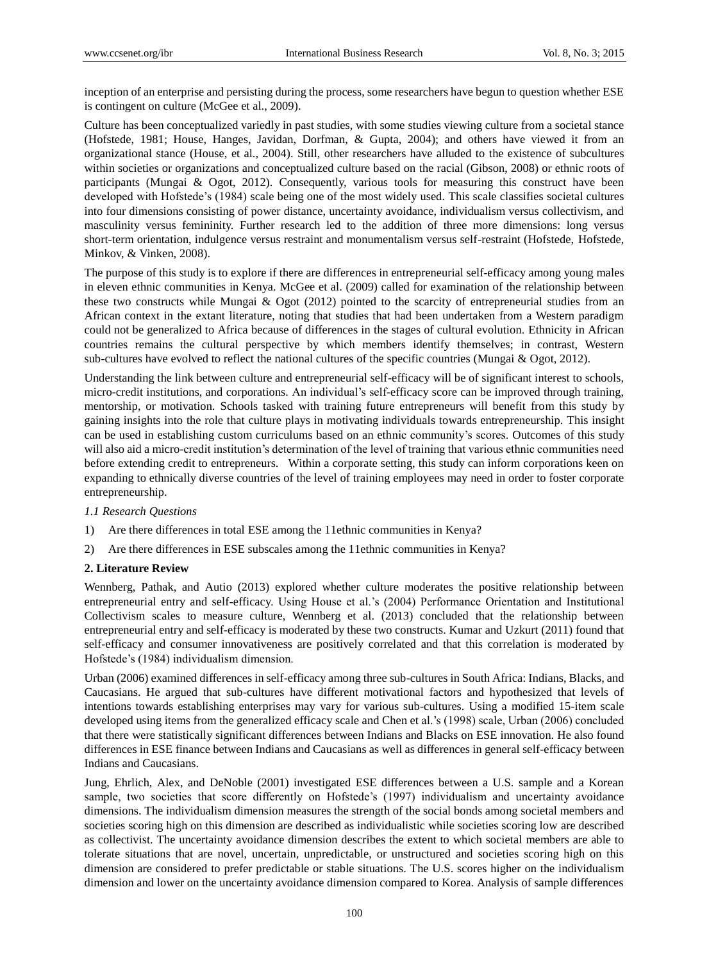inception of an enterprise and persisting during the process, some researchers have begun to question whether ESE is contingent on culture (McGee et al., 2009).

Culture has been conceptualized variedly in past studies, with some studies viewing culture from a societal stance (Hofstede, 1981; House, Hanges, Javidan, Dorfman, & Gupta, 2004); and others have viewed it from an organizational stance (House, et al., 2004). Still, other researchers have alluded to the existence of subcultures within societies or organizations and conceptualized culture based on the racial (Gibson, 2008) or ethnic roots of participants (Mungai & Ogot, 2012). Consequently, various tools for measuring this construct have been developed with Hofstede's (1984) scale being one of the most widely used. This scale classifies societal cultures into four dimensions consisting of power distance, uncertainty avoidance, individualism versus collectivism, and masculinity versus femininity. Further research led to the addition of three more dimensions: long versus short-term orientation, indulgence versus restraint and monumentalism versus self-restraint (Hofstede, Hofstede, Minkov, & Vinken, 2008).

The purpose of this study is to explore if there are differences in entrepreneurial self-efficacy among young males in eleven ethnic communities in Kenya. McGee et al. (2009) called for examination of the relationship between these two constructs while Mungai & Ogot (2012) pointed to the scarcity of entrepreneurial studies from an African context in the extant literature, noting that studies that had been undertaken from a Western paradigm could not be generalized to Africa because of differences in the stages of cultural evolution. Ethnicity in African countries remains the cultural perspective by which members identify themselves; in contrast, Western sub-cultures have evolved to reflect the national cultures of the specific countries (Mungai & Ogot, 2012).

Understanding the link between culture and entrepreneurial self-efficacy will be of significant interest to schools, micro-credit institutions, and corporations. An individual's self-efficacy score can be improved through training, mentorship, or motivation. Schools tasked with training future entrepreneurs will benefit from this study by gaining insights into the role that culture plays in motivating individuals towards entrepreneurship. This insight can be used in establishing custom curriculums based on an ethnic community's scores. Outcomes of this study will also aid a micro-credit institution's determination of the level of training that various ethnic communities need before extending credit to entrepreneurs. Within a corporate setting, this study can inform corporations keen on expanding to ethnically diverse countries of the level of training employees may need in order to foster corporate entrepreneurship.

## *1.1 Research Questions*

- 1) Are there differences in total ESE among the 11ethnic communities in Kenya?
- 2) Are there differences in ESE subscales among the 11ethnic communities in Kenya?

## **2. Literature Review**

Wennberg, Pathak, and Autio (2013) explored whether culture moderates the positive relationship between entrepreneurial entry and self-efficacy. Using House et al.'s (2004) Performance Orientation and Institutional Collectivism scales to measure culture, Wennberg et al. (2013) concluded that the relationship between entrepreneurial entry and self-efficacy is moderated by these two constructs. Kumar and Uzkurt (2011) found that self-efficacy and consumer innovativeness are positively correlated and that this correlation is moderated by Hofstede's (1984) individualism dimension.

Urban (2006) examined differences in self-efficacy among three sub-cultures in South Africa: Indians, Blacks, and Caucasians. He argued that sub-cultures have different motivational factors and hypothesized that levels of intentions towards establishing enterprises may vary for various sub-cultures. Using a modified 15-item scale developed using items from the generalized efficacy scale and Chen et al.'s (1998) scale, Urban (2006) concluded that there were statistically significant differences between Indians and Blacks on ESE innovation. He also found differences in ESE finance between Indians and Caucasians as well as differences in general self-efficacy between Indians and Caucasians.

Jung, Ehrlich, Alex, and DeNoble (2001) investigated ESE differences between a U.S. sample and a Korean sample, two societies that score differently on Hofstede's (1997) individualism and uncertainty avoidance dimensions. The individualism dimension measures the strength of the social bonds among societal members and societies scoring high on this dimension are described as individualistic while societies scoring low are described as collectivist. The uncertainty avoidance dimension describes the extent to which societal members are able to tolerate situations that are novel, uncertain, unpredictable, or unstructured and societies scoring high on this dimension are considered to prefer predictable or stable situations. The U.S. scores higher on the individualism dimension and lower on the uncertainty avoidance dimension compared to Korea. Analysis of sample differences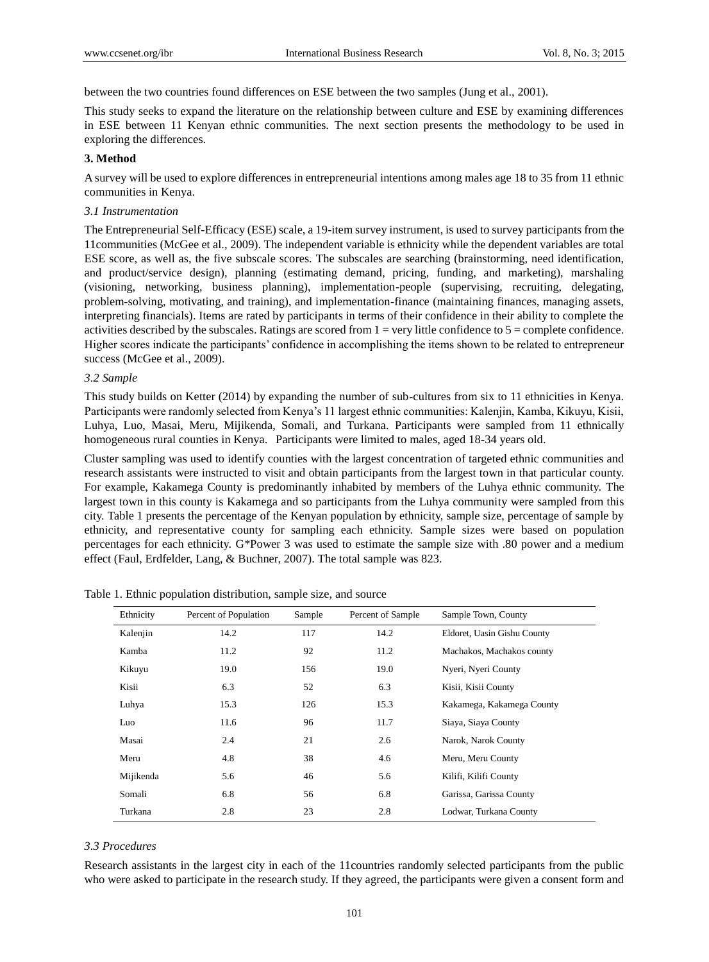between the two countries found differences on ESE between the two samples (Jung et al., 2001).

This study seeks to expand the literature on the relationship between culture and ESE by examining differences in ESE between 11 Kenyan ethnic communities. The next section presents the methodology to be used in exploring the differences.

## **3. Method**

A survey will be used to explore differences in entrepreneurial intentions among males age 18 to 35 from 11 ethnic communities in Kenya.

## *3.1 Instrumentation*

The Entrepreneurial Self-Efficacy (ESE) scale, a 19-item survey instrument, is used to survey participants from the 11communities (McGee et al., 2009). The independent variable is ethnicity while the dependent variables are total ESE score, as well as, the five subscale scores. The subscales are searching (brainstorming, need identification, and product/service design), planning (estimating demand, pricing, funding, and marketing), marshaling (visioning, networking, business planning), implementation-people (supervising, recruiting, delegating, problem-solving, motivating, and training), and implementation-finance (maintaining finances, managing assets, interpreting financials). Items are rated by participants in terms of their confidence in their ability to complete the activities described by the subscales. Ratings are scored from  $1 = \text{very little confidence to } 5 = \text{complete confidence.}$ Higher scores indicate the participants' confidence in accomplishing the items shown to be related to entrepreneur success (McGee et al., 2009).

## *3.2 Sample*

This study builds on Ketter (2014) by expanding the number of sub-cultures from six to 11 ethnicities in Kenya. Participants were randomly selected from Kenya's 11 largest ethnic communities: Kalenjin, Kamba, Kikuyu, Kisii, Luhya, Luo, Masai, Meru, Mijikenda, Somali, and Turkana. Participants were sampled from 11 ethnically homogeneous rural counties in Kenya. Participants were limited to males, aged 18-34 years old.

Cluster sampling was used to identify counties with the largest concentration of targeted ethnic communities and research assistants were instructed to visit and obtain participants from the largest town in that particular county. For example, Kakamega County is predominantly inhabited by members of the Luhya ethnic community. The largest town in this county is Kakamega and so participants from the Luhya community were sampled from this city. Table 1 presents the percentage of the Kenyan population by ethnicity, sample size, percentage of sample by ethnicity, and representative county for sampling each ethnicity. Sample sizes were based on population percentages for each ethnicity. G\*Power 3 was used to estimate the sample size with .80 power and a medium effect (Faul, Erdfelder, Lang, & Buchner, 2007). The total sample was 823.

| Ethnicity | Percent of Population | Sample | Percent of Sample | Sample Town, County         |
|-----------|-----------------------|--------|-------------------|-----------------------------|
| Kalenjin  | 14.2                  | 117    | 14.2              | Eldoret, Uasin Gishu County |
| Kamba     | 11.2                  | 92     | 11.2              | Machakos, Machakos county   |
| Kikuyu    | 19.0                  | 156    | 19.0              | Nyeri, Nyeri County         |
| Kisii     | 6.3                   | 52     | 6.3               | Kisii, Kisii County         |
| Luhya     | 15.3                  | 126    | 15.3              | Kakamega, Kakamega County   |
| Luo       | 11.6                  | 96     | 11.7              | Siaya, Siaya County         |
| Masai     | 2.4                   | 21     | 2.6               | Narok, Narok County         |
| Meru      | 4.8                   | 38     | 4.6               | Meru, Meru County           |
| Mijikenda | 5.6                   | 46     | 5.6               | Kilifi, Kilifi County       |
| Somali    | 6.8                   | 56     | 6.8               | Garissa, Garissa County     |
| Turkana   | 2.8                   | 23     | 2.8               | Lodwar, Turkana County      |

Table 1. Ethnic population distribution, sample size, and source

## *3.3 Procedures*

Research assistants in the largest city in each of the 11countries randomly selected participants from the public who were asked to participate in the research study. If they agreed, the participants were given a consent form and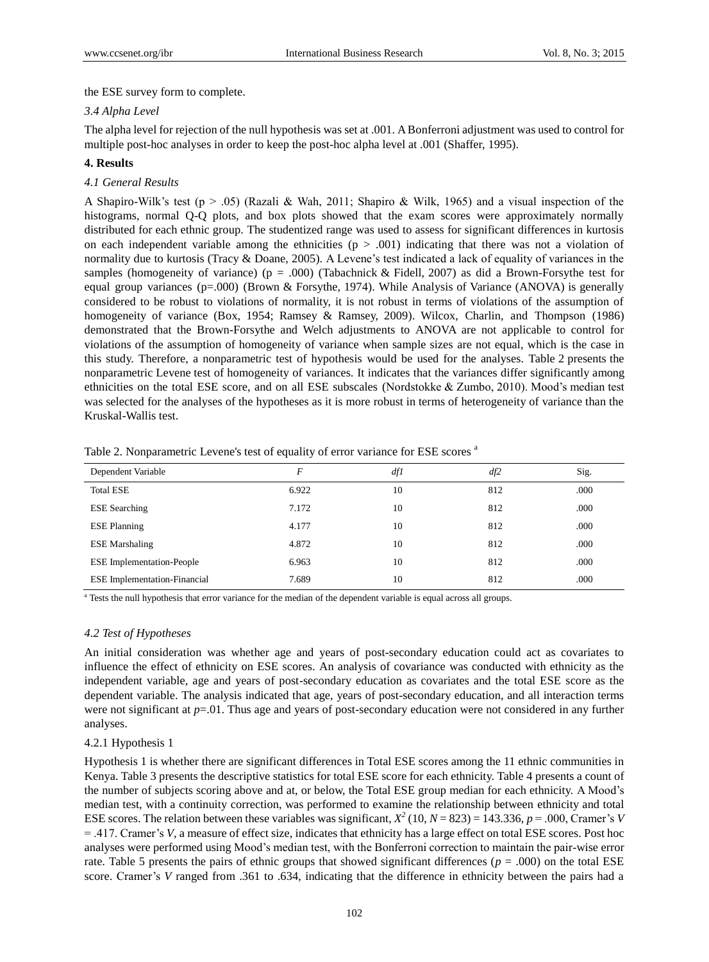the ESE survey form to complete.

### *3.4 Alpha Level*

The alpha level for rejection of the null hypothesis was set at .001. A Bonferroni adjustment was used to control for multiple post-hoc analyses in order to keep the post-hoc alpha level at .001 (Shaffer, 1995).

## **4. Results**

## *4.1 General Results*

A Shapiro-Wilk's test (p  $> 0.05$ ) (Razali & Wah, 2011; Shapiro & Wilk, 1965) and a visual inspection of the histograms, normal Q-Q plots, and box plots showed that the exam scores were approximately normally distributed for each ethnic group. The studentized range was used to assess for significant differences in kurtosis on each independent variable among the ethnicities  $(p > .001)$  indicating that there was not a violation of normality due to kurtosis (Tracy & Doane, 2005). A Levene's test indicated a lack of equality of variances in the samples (homogeneity of variance) ( $p = .000$ ) (Tabachnick & Fidell, 2007) as did a Brown-Forsythe test for equal group variances (p=.000) (Brown & Forsythe, 1974). While Analysis of Variance (ANOVA) is generally considered to be robust to violations of normality, it is not robust in terms of violations of the assumption of homogeneity of variance (Box, 1954; Ramsey & Ramsey, 2009). Wilcox, Charlin, and Thompson (1986) demonstrated that the Brown-Forsythe and Welch adjustments to ANOVA are not applicable to control for violations of the assumption of homogeneity of variance when sample sizes are not equal, which is the case in this study. Therefore, a nonparametric test of hypothesis would be used for the analyses. Table 2 presents the nonparametric Levene test of homogeneity of variances. It indicates that the variances differ significantly among ethnicities on the total ESE score, and on all ESE subscales (Nordstokke & Zumbo, 2010). Mood's median test was selected for the analyses of the hypotheses as it is more robust in terms of heterogeneity of variance than the Kruskal-Wallis test.

| Dependent Variable                  | F     | df1 | df2 | Sig. |
|-------------------------------------|-------|-----|-----|------|
| <b>Total ESE</b>                    | 6.922 | 10  | 812 | .000 |
| <b>ESE</b> Searching                | 7.172 | 10  | 812 | .000 |
| <b>ESE Planning</b>                 | 4.177 | 10  | 812 | .000 |
| <b>ESE</b> Marshaling               | 4.872 | 10  | 812 | .000 |
| <b>ESE</b> Implementation-People    | 6.963 | 10  | 812 | .000 |
| <b>ESE</b> Implementation-Financial | 7.689 | 10  | 812 | .000 |

Table 2. Nonparametric Levene's test of equality of error variance for ESE scores <sup>a</sup>

<sup>a</sup> Tests the null hypothesis that error variance for the median of the dependent variable is equal across all groups.

#### *4.2 Test of Hypotheses*

An initial consideration was whether age and years of post-secondary education could act as covariates to influence the effect of ethnicity on ESE scores. An analysis of covariance was conducted with ethnicity as the independent variable, age and years of post-secondary education as covariates and the total ESE score as the dependent variable. The analysis indicated that age, years of post-secondary education, and all interaction terms were not significant at *p*=.01. Thus age and years of post-secondary education were not considered in any further analyses.

#### 4.2.1 Hypothesis 1

Hypothesis 1 is whether there are significant differences in Total ESE scores among the 11 ethnic communities in Kenya. Table 3 presents the descriptive statistics for total ESE score for each ethnicity. Table 4 presents a count of the number of subjects scoring above and at, or below, the Total ESE group median for each ethnicity. A Mood's median test, with a continuity correction, was performed to examine the relationship between ethnicity and total ESE scores. The relation between these variables was significant,  $X^2$  (10,  $N = 823$ ) = 143.336,  $p = .000$ , Cramer's *V* = .417. Cramer's *V*, a measure of effect size, indicates that ethnicity has a large effect on total ESE scores. Post hoc analyses were performed using Mood's median test, with the Bonferroni correction to maintain the pair-wise error rate. Table 5 presents the pairs of ethnic groups that showed significant differences ( $p = .000$ ) on the total ESE score. Cramer's *V* ranged from .361 to .634, indicating that the difference in ethnicity between the pairs had a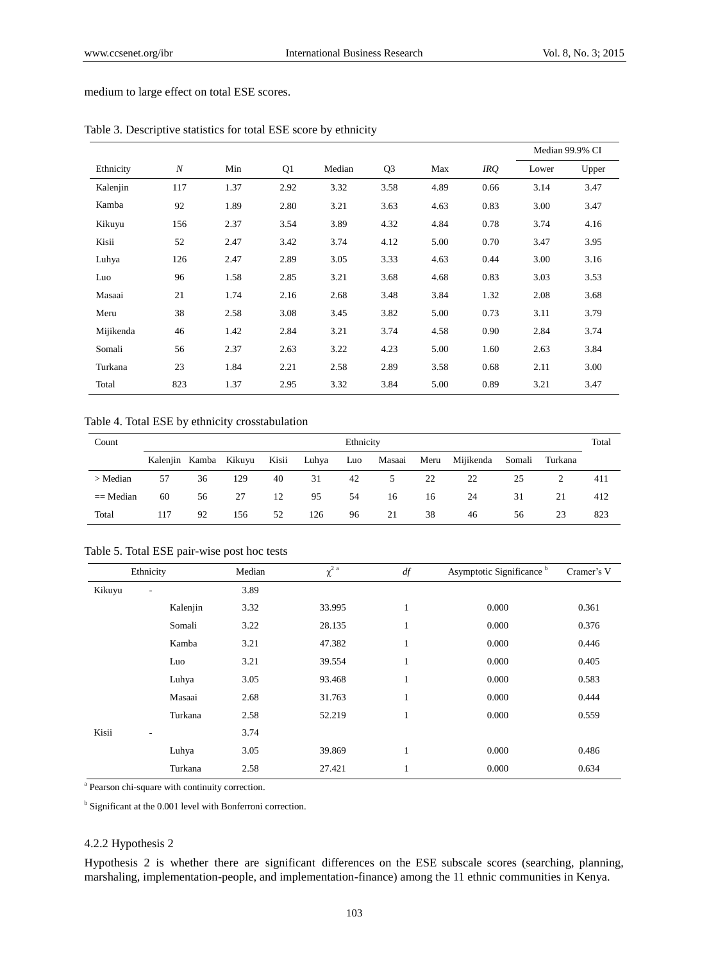medium to large effect on total ESE scores.

|           |     |      |      |        |                |      |      |       | Median 99.9% CI |
|-----------|-----|------|------|--------|----------------|------|------|-------|-----------------|
| Ethnicity | N   | Min  | Q1   | Median | Q <sub>3</sub> | Max  | IRQ  | Lower | Upper           |
| Kalenjin  | 117 | 1.37 | 2.92 | 3.32   | 3.58           | 4.89 | 0.66 | 3.14  | 3.47            |
| Kamba     | 92  | 1.89 | 2.80 | 3.21   | 3.63           | 4.63 | 0.83 | 3.00  | 3.47            |
| Kikuyu    | 156 | 2.37 | 3.54 | 3.89   | 4.32           | 4.84 | 0.78 | 3.74  | 4.16            |
| Kisii     | 52  | 2.47 | 3.42 | 3.74   | 4.12           | 5.00 | 0.70 | 3.47  | 3.95            |
| Luhya     | 126 | 2.47 | 2.89 | 3.05   | 3.33           | 4.63 | 0.44 | 3.00  | 3.16            |
| Luo       | 96  | 1.58 | 2.85 | 3.21   | 3.68           | 4.68 | 0.83 | 3.03  | 3.53            |
| Masaai    | 21  | 1.74 | 2.16 | 2.68   | 3.48           | 3.84 | 1.32 | 2.08  | 3.68            |
| Meru      | 38  | 2.58 | 3.08 | 3.45   | 3.82           | 5.00 | 0.73 | 3.11  | 3.79            |
| Mijikenda | 46  | 1.42 | 2.84 | 3.21   | 3.74           | 4.58 | 0.90 | 2.84  | 3.74            |
| Somali    | 56  | 2.37 | 2.63 | 3.22   | 4.23           | 5.00 | 1.60 | 2.63  | 3.84            |
| Turkana   | 23  | 1.84 | 2.21 | 2.58   | 2.89           | 3.58 | 0.68 | 2.11  | 3.00            |
| Total     | 823 | 1.37 | 2.95 | 3.32   | 3.84           | 5.00 | 0.89 | 3.21  | 3.47            |

Table 3. Descriptive statistics for total ESE score by ethnicity

Table 4. Total ESE by ethnicity crosstabulation

| Count       |     | Ethnicity |                       |       |       |     |        |      |           |        |         | Total |
|-------------|-----|-----------|-----------------------|-------|-------|-----|--------|------|-----------|--------|---------|-------|
|             |     |           | Kalenjin Kamba Kikuyu | Kisii | Luhya | Luo | Masaai | Meru | Mijikenda | Somali | Turkana |       |
| $>$ Median  | 57  | 36        | 129                   | 40    | 31    | 42  | 5      | 22   | 22        | 25     |         | 411   |
| $==$ Median | 60  | 56        | 27                    | 12    | 95    | 54  | 16     | 16   | 24        | 31     | 21      | 412   |
| Total       | 117 | 92        | 156                   | 52    | 126   | 96  | 21     | 38   | 46        | 56     | 23      | 823   |

Table 5. Total ESE pair-wise post hoc tests

|        | Ethnicity                | Median | $\chi^2$ <sup>a</sup> | df | Asymptotic Significance <sup>b</sup> | Cramer's V |
|--------|--------------------------|--------|-----------------------|----|--------------------------------------|------------|
| Kikuyu | $\overline{\phantom{a}}$ | 3.89   |                       |    |                                      |            |
|        | Kalenjin                 | 3.32   | 33.995                | 1  | 0.000                                | 0.361      |
|        | Somali                   | 3.22   | 28.135                | 1  | 0.000                                | 0.376      |
|        | Kamba                    | 3.21   | 47.382                | 1  | 0.000                                | 0.446      |
|        | Luo                      | 3.21   | 39.554                | 1  | 0.000                                | 0.405      |
|        | Luhya                    | 3.05   | 93.468                | 1  | 0.000                                | 0.583      |
|        | Masaai                   | 2.68   | 31.763                | 1  | 0.000                                | 0.444      |
|        | Turkana                  | 2.58   | 52.219                | 1  | 0.000                                | 0.559      |
| Kisii  | ۰.                       | 3.74   |                       |    |                                      |            |
|        | Luhya                    | 3.05   | 39.869                | 1  | 0.000                                | 0.486      |
|        | Turkana                  | 2.58   | 27.421                | 1  | 0.000                                | 0.634      |

<sup>a</sup> Pearson chi-square with continuity correction.

<sup>b</sup> Significant at the 0.001 level with Bonferroni correction.

## 4.2.2 Hypothesis 2

Hypothesis 2 is whether there are significant differences on the ESE subscale scores (searching, planning, marshaling, implementation-people, and implementation-finance) among the 11 ethnic communities in Kenya.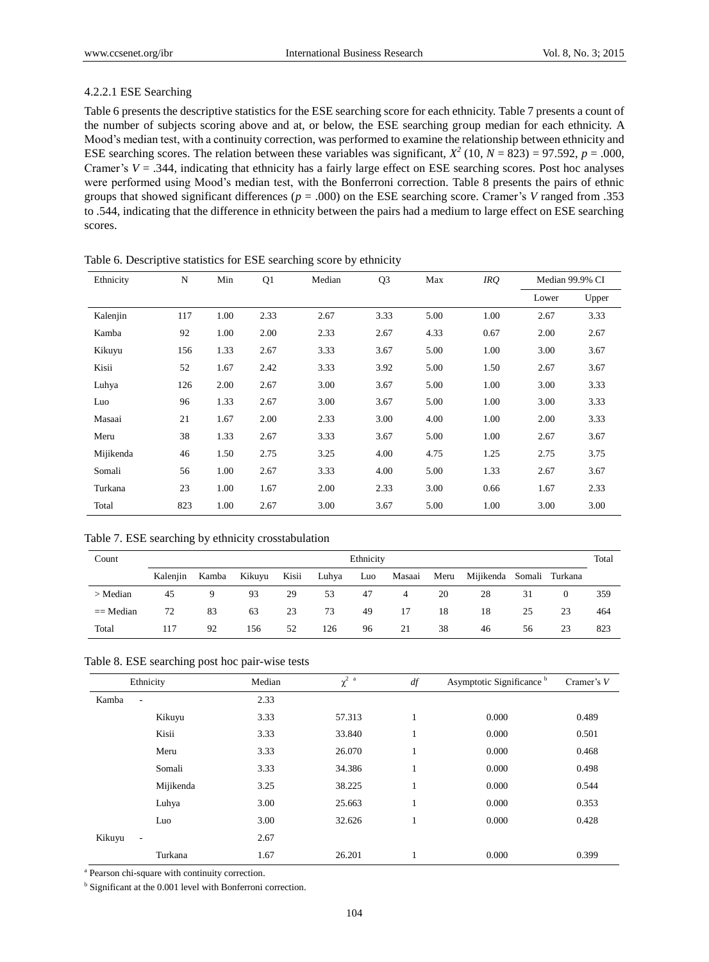## 4.2.2.1 ESE Searching

Table 6 presents the descriptive statistics for the ESE searching score for each ethnicity. Table 7 presents a count of the number of subjects scoring above and at, or below, the ESE searching group median for each ethnicity. A Mood's median test, with a continuity correction, was performed to examine the relationship between ethnicity and ESE searching scores. The relation between these variables was significant,  $X^2$  (10,  $N = 823$ ) = 97.592,  $p = .000$ , Cramer's *V* = .344, indicating that ethnicity has a fairly large effect on ESE searching scores. Post hoc analyses were performed using Mood's median test, with the Bonferroni correction. Table 8 presents the pairs of ethnic groups that showed significant differences ( $p = .000$ ) on the ESE searching score. Cramer's *V* ranged from .353 to .544, indicating that the difference in ethnicity between the pairs had a medium to large effect on ESE searching scores.

| Ethnicity | N   | Min  | Q1   | Median | Q <sub>3</sub> | Max  | IRQ. | Median 99.9% CI |       |
|-----------|-----|------|------|--------|----------------|------|------|-----------------|-------|
|           |     |      |      |        |                |      |      | Lower           | Upper |
| Kalenjin  | 117 | 1.00 | 2.33 | 2.67   | 3.33           | 5.00 | 1.00 | 2.67            | 3.33  |
| Kamba     | 92  | 1.00 | 2.00 | 2.33   | 2.67           | 4.33 | 0.67 | 2.00            | 2.67  |
| Kikuyu    | 156 | 1.33 | 2.67 | 3.33   | 3.67           | 5.00 | 1.00 | 3.00            | 3.67  |
| Kisii     | 52  | 1.67 | 2.42 | 3.33   | 3.92           | 5.00 | 1.50 | 2.67            | 3.67  |
| Luhya     | 126 | 2.00 | 2.67 | 3.00   | 3.67           | 5.00 | 1.00 | 3.00            | 3.33  |
| Luo       | 96  | 1.33 | 2.67 | 3.00   | 3.67           | 5.00 | 1.00 | 3.00            | 3.33  |
| Masaai    | 21  | 1.67 | 2.00 | 2.33   | 3.00           | 4.00 | 1.00 | 2.00            | 3.33  |
| Meru      | 38  | 1.33 | 2.67 | 3.33   | 3.67           | 5.00 | 1.00 | 2.67            | 3.67  |
| Mijikenda | 46  | 1.50 | 2.75 | 3.25   | 4.00           | 4.75 | 1.25 | 2.75            | 3.75  |
| Somali    | 56  | 1.00 | 2.67 | 3.33   | 4.00           | 5.00 | 1.33 | 2.67            | 3.67  |
| Turkana   | 23  | 1.00 | 1.67 | 2.00   | 2.33           | 3.00 | 0.66 | 1.67            | 2.33  |
| Total     | 823 | 1.00 | 2.67 | 3.00   | 3.67           | 5.00 | 1.00 | 3.00            | 3.00  |

Table 6. Descriptive statistics for ESE searching score by ethnicity

Table 7. ESE searching by ethnicity crosstabulation

| Count       |          | Ethnicity<br>Total |        |       |       |     |        |      |                          |    |          |     |
|-------------|----------|--------------------|--------|-------|-------|-----|--------|------|--------------------------|----|----------|-----|
|             | Kaleniin | Kamba              | Kikuyu | Kisii | Luhya | Luo | Masaai | Meru | Mijikenda Somali Turkana |    |          |     |
| $>$ Median  | 45       | 9                  | 93     | 29    | 53    | 47  | 4      | 20   | 28                       | 31 | $\Omega$ | 359 |
| $==$ Median | 72       | 83                 | 63     | 23    | 73    | 49  | 17     | 18   | 18                       | 25 | 23       | 464 |
| Total       | 117      | 92                 | 156    | 52    | 126   | 96  | 21     | 38   | 46                       | 56 | 23       | 823 |

#### Table 8. ESE searching post hoc pair-wise tests

|                                   | Ethnicity | Median | $\chi^2$ <sup>a</sup> | $d\!f$                   | Asymptotic Significance <sup>b</sup> | Cramer's $V$ |
|-----------------------------------|-----------|--------|-----------------------|--------------------------|--------------------------------------|--------------|
| Kamba<br>$\overline{\phantom{a}}$ |           | 2.33   |                       |                          |                                      |              |
|                                   | Kikuyu    | 3.33   | 57.313                | $\mathbf{1}$<br>л.       | 0.000                                | 0.489        |
|                                   | Kisii     | 3.33   | 33.840                | $\mathbf{I}$<br>1        | 0.000                                | 0.501        |
|                                   | Meru      | 3.33   | 26.070                | $\mathbf{1}$<br>$\bf{1}$ | 0.000                                | 0.468        |
|                                   | Somali    | 3.33   | 34.386                | -1                       | 0.000                                | 0.498        |
|                                   | Mijikenda | 3.25   | 38.225                | $\mathbf{I}$<br>$\bf{1}$ | 0.000                                | 0.544        |
|                                   | Luhya     | 3.00   | 25.663                | $\mathbf{1}$<br>$\bf{1}$ | 0.000                                | 0.353        |
|                                   | Luo       | 3.00   | 32.626                | 1                        | 0.000                                | 0.428        |
| Kikuyu<br>$\sim$                  |           | 2.67   |                       |                          |                                      |              |
|                                   | Turkana   | 1.67   | 26.201                |                          | 0.000                                | 0.399        |

<sup>a</sup> Pearson chi-square with continuity correction.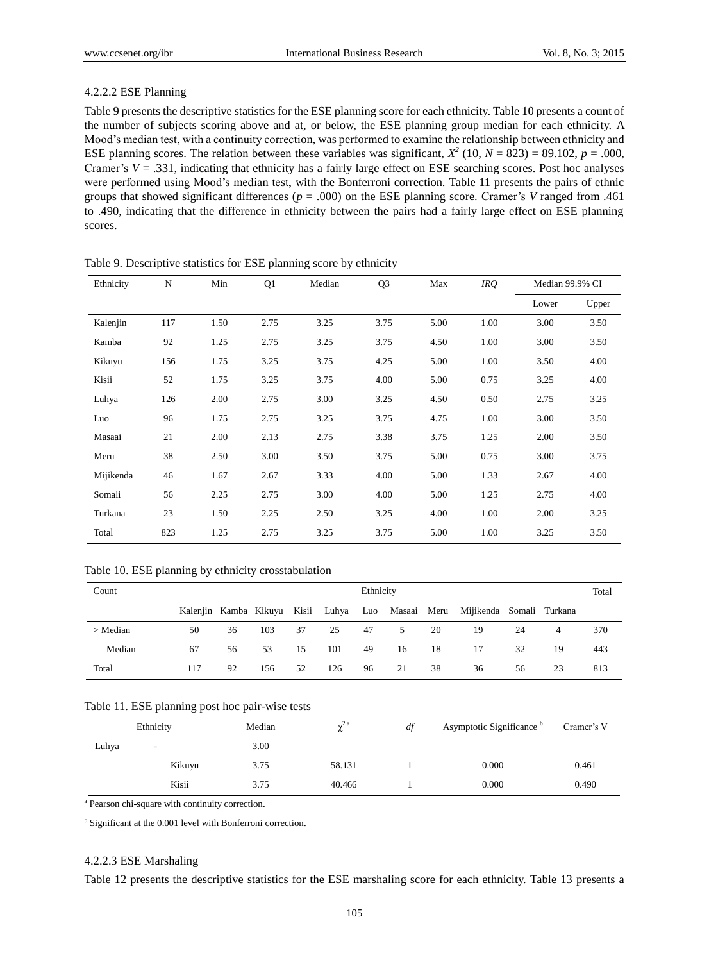#### 4.2.2.2 ESE Planning

Table 9 presents the descriptive statistics for the ESE planning score for each ethnicity. Table 10 presents a count of the number of subjects scoring above and at, or below, the ESE planning group median for each ethnicity. A Mood's median test, with a continuity correction, was performed to examine the relationship between ethnicity and ESE planning scores. The relation between these variables was significant,  $X^2$  (10,  $N = 823$ ) = 89.102,  $p = .000$ , Cramer's *V* = .331, indicating that ethnicity has a fairly large effect on ESE searching scores. Post hoc analyses were performed using Mood's median test, with the Bonferroni correction. Table 11 presents the pairs of ethnic groups that showed significant differences ( $p = .000$ ) on the ESE planning score. Cramer's *V* ranged from .461 to .490, indicating that the difference in ethnicity between the pairs had a fairly large effect on ESE planning scores.

| Ethnicity | N   | Min  | Q1   | Median | Q <sub>3</sub> | Max  | IRQ. | Median 99.9% CI |       |
|-----------|-----|------|------|--------|----------------|------|------|-----------------|-------|
|           |     |      |      |        |                |      |      | Lower           | Upper |
| Kalenjin  | 117 | 1.50 | 2.75 | 3.25   | 3.75           | 5.00 | 1.00 | 3.00            | 3.50  |
| Kamba     | 92  | 1.25 | 2.75 | 3.25   | 3.75           | 4.50 | 1.00 | 3.00            | 3.50  |
| Kikuyu    | 156 | 1.75 | 3.25 | 3.75   | 4.25           | 5.00 | 1.00 | 3.50            | 4.00  |
| Kisii     | 52  | 1.75 | 3.25 | 3.75   | 4.00           | 5.00 | 0.75 | 3.25            | 4.00  |
| Luhya     | 126 | 2.00 | 2.75 | 3.00   | 3.25           | 4.50 | 0.50 | 2.75            | 3.25  |
| Luo       | 96  | 1.75 | 2.75 | 3.25   | 3.75           | 4.75 | 1.00 | 3.00            | 3.50  |
| Masaai    | 21  | 2.00 | 2.13 | 2.75   | 3.38           | 3.75 | 1.25 | 2.00            | 3.50  |
| Meru      | 38  | 2.50 | 3.00 | 3.50   | 3.75           | 5.00 | 0.75 | 3.00            | 3.75  |
| Mijikenda | 46  | 1.67 | 2.67 | 3.33   | 4.00           | 5.00 | 1.33 | 2.67            | 4.00  |
| Somali    | 56  | 2.25 | 2.75 | 3.00   | 4.00           | 5.00 | 1.25 | 2.75            | 4.00  |
| Turkana   | 23  | 1.50 | 2.25 | 2.50   | 3.25           | 4.00 | 1.00 | 2.00            | 3.25  |
| Total     | 823 | 1.25 | 2.75 | 3.25   | 3.75           | 5.00 | 1.00 | 3.25            | 3.50  |

Table 9. Descriptive statistics for ESE planning score by ethnicity

Table 10. ESE planning by ethnicity crosstabulation

| Count       | Ethnicity                         |    |     |    |     |    |    |    |                                          |    |    | Total |
|-------------|-----------------------------------|----|-----|----|-----|----|----|----|------------------------------------------|----|----|-------|
|             | Kalenjin Kamba Kikuyu Kisii Luhya |    |     |    |     |    |    |    | Luo Masaai Meru Mijikenda Somali Turkana |    |    |       |
| $>$ Median  | 50                                | 36 | 103 | 37 | 25  | 47 | 5  | 20 | 19                                       | 24 | 4  | 370   |
| $==$ Median | 67                                | 56 | 53  | 15 | 101 | 49 | 16 | 18 | 17                                       | 32 | 19 | 443   |
| Total       | 117                               | 92 | 156 | 52 | 126 | 96 | 21 | 38 | 36                                       | 56 | 23 | 813   |

#### Table 11. ESE planning post hoc pair-wise tests

|       | Ethnicity | Median | $\gamma^2$ a | df | Asymptotic Significance <sup>b</sup> | Cramer's V |
|-------|-----------|--------|--------------|----|--------------------------------------|------------|
| Luhya | $\sim$    | 3.00   |              |    |                                      |            |
|       | Kikuyu    | 3.75   | 58.131       |    | 0.000                                | 0.461      |
|       | Kisii     | 3.75   | 40.466       |    | 0.000                                | 0.490      |

<sup>a</sup> Pearson chi-square with continuity correction.

<sup>b</sup> Significant at the 0.001 level with Bonferroni correction.

#### 4.2.2.3 ESE Marshaling

Table 12 presents the descriptive statistics for the ESE marshaling score for each ethnicity. Table 13 presents a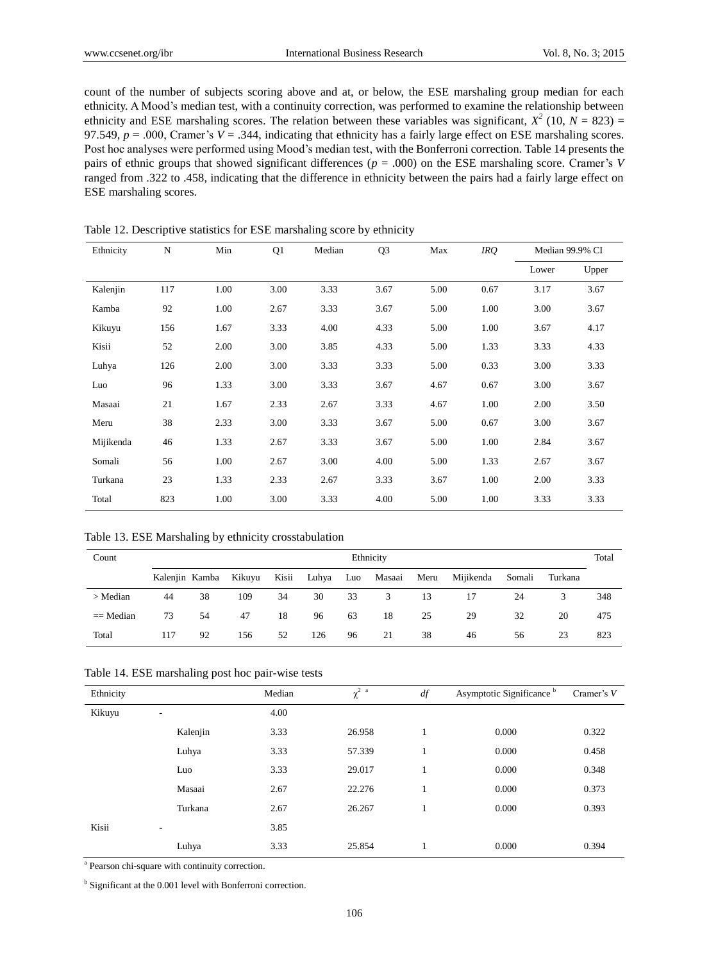count of the number of subjects scoring above and at, or below, the ESE marshaling group median for each ethnicity. A Mood's median test, with a continuity correction, was performed to examine the relationship between ethnicity and ESE marshaling scores. The relation between these variables was significant,  $X^2$  (10,  $N = 823$ ) = 97.549,  $p = 0.000$ , Cramer's  $V = 0.344$ , indicating that ethnicity has a fairly large effect on ESE marshaling scores. Post hoc analyses were performed using Mood's median test, with the Bonferroni correction. Table 14 presents the pairs of ethnic groups that showed significant differences (*p* = .000) on the ESE marshaling score. Cramer's *V* ranged from .322 to .458, indicating that the difference in ethnicity between the pairs had a fairly large effect on ESE marshaling scores.

Ethnicity N Min Q1 Median Q3 Max *IRQ* Median 99.9% CI Lower Upper Kalenjin 117 1.00 3.00 3.33 3.67 5.00 0.67 3.17 3.67 Kamba 92 1.00 2.67 3.33 3.67 5.00 1.00 3.00 3.67 Kikuyu 156 1.67 3.33 4.00 4.33 5.00 1.00 3.67 4.17 Kisii 52 2.00 3.00 3.85 4.33 5.00 1.33 3.33 4.33 Luhya 126 2.00 3.00 3.33 3.33 5.00 0.33 3.00 3.33 Luo 96 1.33 3.00 3.33 3.67 4.67 0.67 3.00 3.67 Masaai 21 1.67 2.33 2.67 3.33 4.67 1.00 2.00 3.50 Meru 38 2.33 3.00 3.33 3.67 5.00 0.67 3.00 3.67 Mijikenda 46 1.33 2.67 3.33 3.67 5.00 1.00 2.84 3.67 Somali 56 1.00 2.67 3.00 4.00 5.00 1.33 2.67 3.67 Turkana 23 1.33 2.33 2.67 3.33 3.67 1.00 2.00 3.33 Total 823 1.00 3.00 3.33 4.00 5.00 1.00 3.33 3.33

Table 12. Descriptive statistics for ESE marshaling score by ethnicity

Table 13. ESE Marshaling by ethnicity crosstabulation

| Count       |     |                |        |       |       |     | Ethnicity |      |           |        |         | Total |
|-------------|-----|----------------|--------|-------|-------|-----|-----------|------|-----------|--------|---------|-------|
|             |     | Kalenjin Kamba | Kikuyu | Kisii | Luhya | Luo | Masaai    | Meru | Mijikenda | Somali | Turkana |       |
| $>$ Median  | 44  | 38             | 109    | 34    | 30    | 33  | 3         | 13   | 17        | 24     |         | 348   |
| $==$ Median | 73  | 54             | 47     | 18    | 96    | 63  | 18        | 25   | 29        | 32     | 20      | 475   |
| Total       | 117 | 92             | 156    | 52    | 126   | 96  | 21        | 38   | 46        | 56     | 23      | 823   |

| Ethnicity                              |          | Median | $\chi^2$ $\,$ $^{\rm a}$ | df | Asymptotic Significance <sup>b</sup> | Cramer's $V$ |
|----------------------------------------|----------|--------|--------------------------|----|--------------------------------------|--------------|
| Kikuyu<br>$\qquad \qquad \blacksquare$ |          | 4.00   |                          |    |                                      |              |
|                                        | Kalenjin | 3.33   | 26.958                   |    | 0.000                                | 0.322        |
|                                        | Luhya    | 3.33   | 57.339                   | 1  | 0.000                                | 0.458        |
|                                        | Luo      | 3.33   | 29.017                   |    | 0.000                                | 0.348        |
|                                        | Masaai   | 2.67   | 22.276                   |    | 0.000                                | 0.373        |
|                                        | Turkana  | 2.67   | 26.267                   |    | 0.000                                | 0.393        |
| Kisii<br>-                             |          | 3.85   |                          |    |                                      |              |
|                                        | Luhya    | 3.33   | 25.854                   |    | 0.000                                | 0.394        |

<sup>a</sup> Pearson chi-square with continuity correction.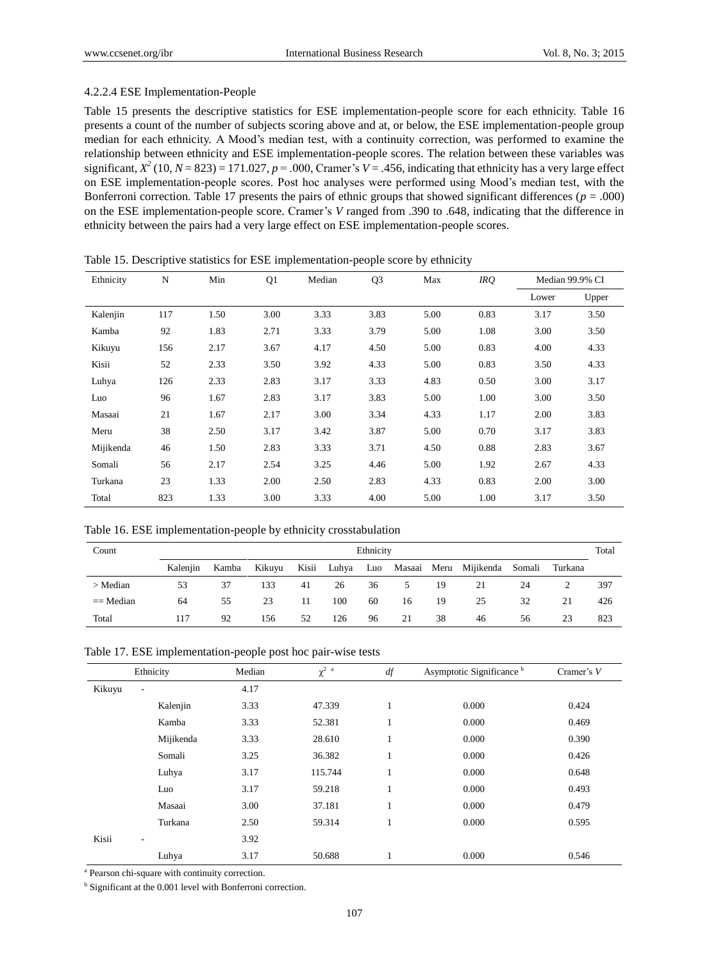## 4.2.2.4 ESE Implementation-People

Table 15 presents the descriptive statistics for ESE implementation-people score for each ethnicity. Table 16 presents a count of the number of subjects scoring above and at, or below, the ESE implementation-people group median for each ethnicity. A Mood's median test, with a continuity correction, was performed to examine the relationship between ethnicity and ESE implementation-people scores. The relation between these variables was significant,  $X^2$  (10,  $N = 823$ ) = 171.027,  $p = .000$ , Cramer's  $V = .456$ , indicating that ethnicity has a very large effect on ESE implementation-people scores. Post hoc analyses were performed using Mood's median test, with the Bonferroni correction. Table 17 presents the pairs of ethnic groups that showed significant differences ( $p = .000$ ) on the ESE implementation-people score. Cramer's *V* ranged from .390 to .648, indicating that the difference in ethnicity between the pairs had a very large effect on ESE implementation-people scores.

| Ethnicity | N   | Min  | Q1   | Median | Q <sub>3</sub> | Max  | IRQ  |       | Median 99.9% CI |
|-----------|-----|------|------|--------|----------------|------|------|-------|-----------------|
|           |     |      |      |        |                |      |      | Lower | Upper           |
| Kalenjin  | 117 | 1.50 | 3.00 | 3.33   | 3.83           | 5.00 | 0.83 | 3.17  | 3.50            |
| Kamba     | 92  | 1.83 | 2.71 | 3.33   | 3.79           | 5.00 | 1.08 | 3.00  | 3.50            |
| Kikuyu    | 156 | 2.17 | 3.67 | 4.17   | 4.50           | 5.00 | 0.83 | 4.00  | 4.33            |
| Kisii     | 52  | 2.33 | 3.50 | 3.92   | 4.33           | 5.00 | 0.83 | 3.50  | 4.33            |
| Luhya     | 126 | 2.33 | 2.83 | 3.17   | 3.33           | 4.83 | 0.50 | 3.00  | 3.17            |
| Luo       | 96  | 1.67 | 2.83 | 3.17   | 3.83           | 5.00 | 1.00 | 3.00  | 3.50            |
| Masaai    | 21  | 1.67 | 2.17 | 3.00   | 3.34           | 4.33 | 1.17 | 2.00  | 3.83            |
| Meru      | 38  | 2.50 | 3.17 | 3.42   | 3.87           | 5.00 | 0.70 | 3.17  | 3.83            |
| Mijikenda | 46  | 1.50 | 2.83 | 3.33   | 3.71           | 4.50 | 0.88 | 2.83  | 3.67            |
| Somali    | 56  | 2.17 | 2.54 | 3.25   | 4.46           | 5.00 | 1.92 | 2.67  | 4.33            |
| Turkana   | 23  | 1.33 | 2.00 | 2.50   | 2.83           | 4.33 | 0.83 | 2.00  | 3.00            |
| Total     | 823 | 1.33 | 3.00 | 3.33   | 4.00           | 5.00 | 1.00 | 3.17  | 3.50            |

Table 15. Descriptive statistics for ESE implementation-people score by ethnicity

|  |  |  | Table 16. ESE implementation-people by ethnicity crosstabulation |
|--|--|--|------------------------------------------------------------------|
|--|--|--|------------------------------------------------------------------|

| Count       |          |       |        |       |       | Ethnicity |    |    |                       |        |         | Total |
|-------------|----------|-------|--------|-------|-------|-----------|----|----|-----------------------|--------|---------|-------|
|             | Kalenjin | Kamba | Kikuyu | Kisii | Luhya | Luo       |    |    | Masaai Meru Mijikenda | Somali | Turkana |       |
| $>$ Median  | 53       | 37    | 133    | 41    | 26    | 36        | 5  | 19 | 21                    | 24     |         | 397   |
| $==$ Median | 64       | 55    | 23     | 11    | 100   | 60        | 16 | 19 | 25                    | 32     | 21      | 426   |
| Total       | 117      | 92    | 156    | 52    | 126   | 96        | 21 | 38 | 46                    | 56     | 23      | 823   |

| Table 17. ESE implementation-people post hoc pair-wise tests |
|--------------------------------------------------------------|
|--------------------------------------------------------------|

|        | Ethnicity                | Median | $\chi^2$ $\,$ $^{\rm a}$ | df                | Asymptotic Significance <sup>b</sup> | Cramer's $V$ |
|--------|--------------------------|--------|--------------------------|-------------------|--------------------------------------|--------------|
| Kikuyu | $\overline{\phantom{a}}$ | 4.17   |                          |                   |                                      |              |
|        | Kalenjin                 | 3.33   | 47.339                   | 1                 | 0.000                                | 0.424        |
|        | Kamba                    | 3.33   | 52.381                   | 1                 | 0.000                                | 0.469        |
|        | Mijikenda                | 3.33   | 28.610                   | 1                 | 0.000                                | 0.390        |
|        | Somali                   | 3.25   | 36.382                   | 1                 | 0.000                                | 0.426        |
|        | Luhya                    | 3.17   | 115.744                  | 1                 | 0.000                                | 0.648        |
|        | Luo                      | 3.17   | 59.218                   | 1                 | 0.000                                | 0.493        |
|        | Masaai                   | 3.00   | 37.181                   | 1                 | 0.000                                | 0.479        |
|        | Turkana                  | 2.50   | 59.314                   | $\mathbf{I}$<br>1 | 0.000                                | 0.595        |
| Kisii  | ۰                        | 3.92   |                          |                   |                                      |              |
|        | Luhya                    | 3.17   | 50.688                   | 1                 | 0.000                                | 0.546        |

<sup>a</sup> Pearson chi-square with continuity correction.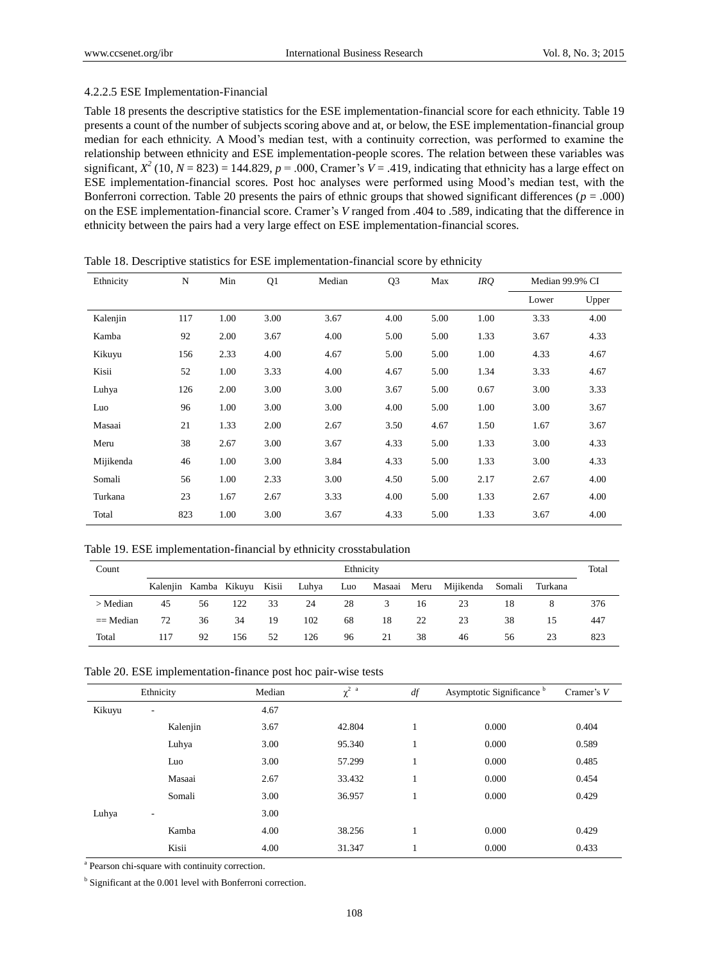#### 4.2.2.5 ESE Implementation-Financial

Table 18 presents the descriptive statistics for the ESE implementation-financial score for each ethnicity. Table 19 presents a count of the number of subjects scoring above and at, or below, the ESE implementation-financial group median for each ethnicity. A Mood's median test, with a continuity correction, was performed to examine the relationship between ethnicity and ESE implementation-people scores. The relation between these variables was significant,  $X^2$  (10,  $N = 823$ ) = 144.829,  $p = .000$ , Cramer's  $V = .419$ , indicating that ethnicity has a large effect on ESE implementation-financial scores. Post hoc analyses were performed using Mood's median test, with the Bonferroni correction. Table 20 presents the pairs of ethnic groups that showed significant differences ( $p = .000$ ) on the ESE implementation-financial score. Cramer's *V* ranged from .404 to .589, indicating that the difference in ethnicity between the pairs had a very large effect on ESE implementation-financial scores.

| Ethnicity | N   | Min  | Q1   | Median | Q <sub>3</sub> | Max  | IRQ  | Median 99.9% CI |       |
|-----------|-----|------|------|--------|----------------|------|------|-----------------|-------|
|           |     |      |      |        |                |      |      | Lower           | Upper |
| Kalenjin  | 117 | 1.00 | 3.00 | 3.67   | 4.00           | 5.00 | 1.00 | 3.33            | 4.00  |
| Kamba     | 92  | 2.00 | 3.67 | 4.00   | 5.00           | 5.00 | 1.33 | 3.67            | 4.33  |
| Kikuyu    | 156 | 2.33 | 4.00 | 4.67   | 5.00           | 5.00 | 1.00 | 4.33            | 4.67  |
| Kisii     | 52  | 1.00 | 3.33 | 4.00   | 4.67           | 5.00 | 1.34 | 3.33            | 4.67  |
| Luhya     | 126 | 2.00 | 3.00 | 3.00   | 3.67           | 5.00 | 0.67 | 3.00            | 3.33  |
| Luo       | 96  | 1.00 | 3.00 | 3.00   | 4.00           | 5.00 | 1.00 | 3.00            | 3.67  |
| Masaai    | 21  | 1.33 | 2.00 | 2.67   | 3.50           | 4.67 | 1.50 | 1.67            | 3.67  |
| Meru      | 38  | 2.67 | 3.00 | 3.67   | 4.33           | 5.00 | 1.33 | 3.00            | 4.33  |
| Mijikenda | 46  | 1.00 | 3.00 | 3.84   | 4.33           | 5.00 | 1.33 | 3.00            | 4.33  |
| Somali    | 56  | 1.00 | 2.33 | 3.00   | 4.50           | 5.00 | 2.17 | 2.67            | 4.00  |
| Turkana   | 23  | 1.67 | 2.67 | 3.33   | 4.00           | 5.00 | 1.33 | 2.67            | 4.00  |
| Total     | 823 | 1.00 | 3.00 | 3.67   | 4.33           | 5.00 | 1.33 | 3.67            | 4.00  |

Table 18. Descriptive statistics for ESE implementation-financial score by ethnicity

|  |  |  | Table 19. ESE implementation-financial by ethnicity crosstabulation |
|--|--|--|---------------------------------------------------------------------|
|  |  |  |                                                                     |

| Count       |                             | Ethnicity |     |    |           |    |    |    |                                      |    |    |     |
|-------------|-----------------------------|-----------|-----|----|-----------|----|----|----|--------------------------------------|----|----|-----|
|             | Kalenjin Kamba Kikuyu Kisii |           |     |    | Luhya Luo |    |    |    | Masaai Meru Mijikenda Somali Turkana |    |    |     |
| $>$ Median  | 45                          | 56        | 122 | 33 | 24        | 28 | 3  | 16 | 23                                   | 18 | 8  | 376 |
| $==$ Median | 72                          | 36        | 34  | 19 | 102       | 68 | 18 | 22 | 23                                   | 38 | 15 | 447 |
| Total       | 117                         | 92        | 156 | 52 | 126       | 96 | 21 | 38 | 46                                   | 56 | 23 | 823 |

|        | Ethnicity                | Median | $\chi^2$ $\,$ $^{\rm a}$ | df | Asymptotic Significance <sup>b</sup> | Cramer's $V$ |
|--------|--------------------------|--------|--------------------------|----|--------------------------------------|--------------|
| Kikuyu | ۰.                       | 4.67   |                          |    |                                      |              |
|        | Kalenjin                 | 3.67   | 42.804                   |    | 0.000                                | 0.404        |
|        | Luhya                    | 3.00   | 95.340                   |    | 0.000                                | 0.589        |
|        | Luo                      | 3.00   | 57.299                   | ı  | 0.000                                | 0.485        |
|        | Masaai                   | 2.67   | 33.432                   | Ŧ. | 0.000                                | 0.454        |
|        | Somali                   | 3.00   | 36.957                   |    | 0.000                                | 0.429        |
| Luhya  | $\overline{\phantom{a}}$ | 3.00   |                          |    |                                      |              |
|        | Kamba                    | 4.00   | 38.256                   |    | 0.000                                | 0.429        |
|        | Kisii                    | 4.00   | 31.347                   |    | 0.000                                | 0.433        |

<sup>a</sup> Pearson chi-square with continuity correction.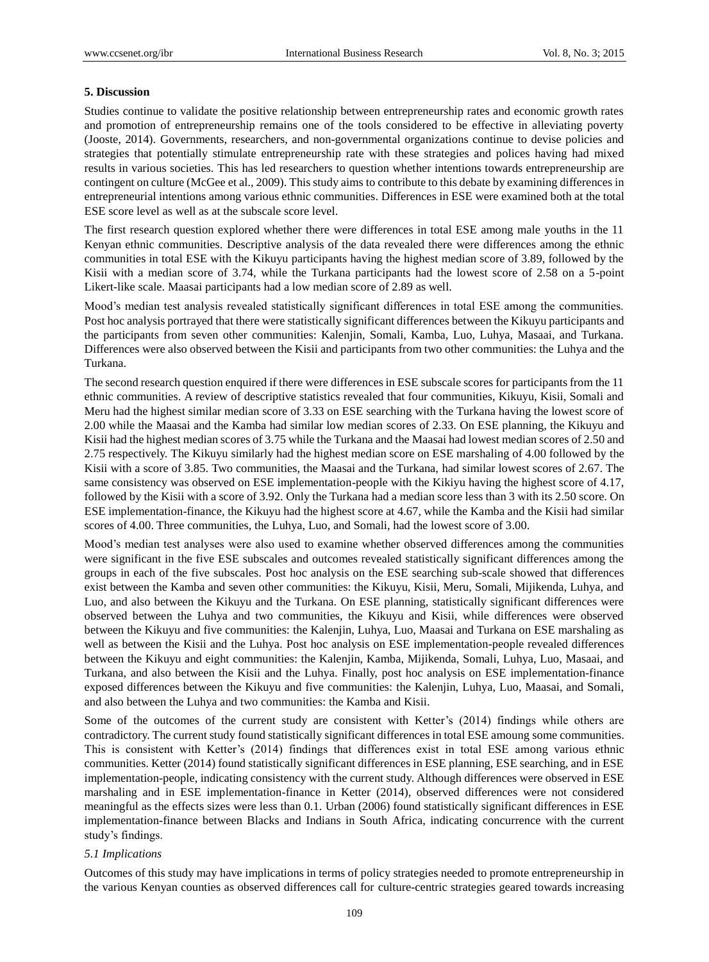#### **5. Discussion**

Studies continue to validate the positive relationship between entrepreneurship rates and economic growth rates and promotion of entrepreneurship remains one of the tools considered to be effective in alleviating poverty (Jooste, 2014). Governments, researchers, and non-governmental organizations continue to devise policies and strategies that potentially stimulate entrepreneurship rate with these strategies and polices having had mixed results in various societies. This has led researchers to question whether intentions towards entrepreneurship are contingent on culture (McGee et al., 2009). This study aims to contribute to this debate by examining differences in entrepreneurial intentions among various ethnic communities. Differences in ESE were examined both at the total ESE score level as well as at the subscale score level.

The first research question explored whether there were differences in total ESE among male youths in the 11 Kenyan ethnic communities. Descriptive analysis of the data revealed there were differences among the ethnic communities in total ESE with the Kikuyu participants having the highest median score of 3.89, followed by the Kisii with a median score of 3.74, while the Turkana participants had the lowest score of 2.58 on a 5-point Likert-like scale. Maasai participants had a low median score of 2.89 as well.

Mood's median test analysis revealed statistically significant differences in total ESE among the communities. Post hoc analysis portrayed that there were statistically significant differences between the Kikuyu participants and the participants from seven other communities: Kalenjin, Somali, Kamba, Luo, Luhya, Masaai, and Turkana. Differences were also observed between the Kisii and participants from two other communities: the Luhya and the Turkana.

The second research question enquired if there were differences in ESE subscale scores for participants from the 11 ethnic communities. A review of descriptive statistics revealed that four communities, Kikuyu, Kisii, Somali and Meru had the highest similar median score of 3.33 on ESE searching with the Turkana having the lowest score of 2.00 while the Maasai and the Kamba had similar low median scores of 2.33. On ESE planning, the Kikuyu and Kisii had the highest median scores of 3.75 while the Turkana and the Maasai had lowest median scores of 2.50 and 2.75 respectively. The Kikuyu similarly had the highest median score on ESE marshaling of 4.00 followed by the Kisii with a score of 3.85. Two communities, the Maasai and the Turkana, had similar lowest scores of 2.67. The same consistency was observed on ESE implementation-people with the Kikiyu having the highest score of 4.17, followed by the Kisii with a score of 3.92. Only the Turkana had a median score less than 3 with its 2.50 score. On ESE implementation-finance, the Kikuyu had the highest score at 4.67, while the Kamba and the Kisii had similar scores of 4.00. Three communities, the Luhya, Luo, and Somali, had the lowest score of 3.00.

Mood's median test analyses were also used to examine whether observed differences among the communities were significant in the five ESE subscales and outcomes revealed statistically significant differences among the groups in each of the five subscales. Post hoc analysis on the ESE searching sub-scale showed that differences exist between the Kamba and seven other communities: the Kikuyu, Kisii, Meru, Somali, Mijikenda, Luhya, and Luo, and also between the Kikuyu and the Turkana. On ESE planning, statistically significant differences were observed between the Luhya and two communities, the Kikuyu and Kisii, while differences were observed between the Kikuyu and five communities: the Kalenjin, Luhya, Luo, Maasai and Turkana on ESE marshaling as well as between the Kisii and the Luhya. Post hoc analysis on ESE implementation-people revealed differences between the Kikuyu and eight communities: the Kalenjin, Kamba, Mijikenda, Somali, Luhya, Luo, Masaai, and Turkana, and also between the Kisii and the Luhya. Finally, post hoc analysis on ESE implementation-finance exposed differences between the Kikuyu and five communities: the Kalenjin, Luhya, Luo, Maasai, and Somali, and also between the Luhya and two communities: the Kamba and Kisii.

Some of the outcomes of the current study are consistent with Ketter's (2014) findings while others are contradictory. The current study found statistically significant differences in total ESE amoung some communities. This is consistent with Ketter's (2014) findings that differences exist in total ESE among various ethnic communities. Ketter (2014) found statistically significant differences in ESE planning, ESE searching, and in ESE implementation-people, indicating consistency with the current study. Although differences were observed in ESE marshaling and in ESE implementation-finance in Ketter (2014), observed differences were not considered meaningful as the effects sizes were less than 0.1. Urban (2006) found statistically significant differences in ESE implementation-finance between Blacks and Indians in South Africa, indicating concurrence with the current study's findings.

#### *5.1 Implications*

Outcomes of this study may have implications in terms of policy strategies needed to promote entrepreneurship in the various Kenyan counties as observed differences call for culture-centric strategies geared towards increasing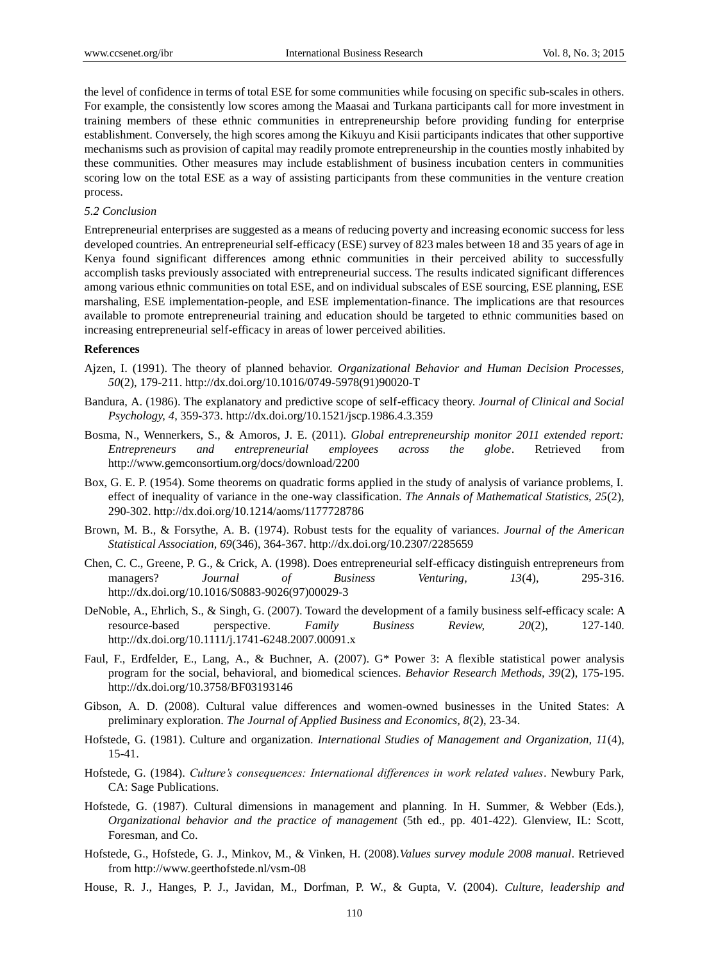the level of confidence in terms of total ESE for some communities while focusing on specific sub-scales in others. For example, the consistently low scores among the Maasai and Turkana participants call for more investment in training members of these ethnic communities in entrepreneurship before providing funding for enterprise establishment. Conversely, the high scores among the Kikuyu and Kisii participants indicates that other supportive mechanisms such as provision of capital may readily promote entrepreneurship in the counties mostly inhabited by these communities. Other measures may include establishment of business incubation centers in communities scoring low on the total ESE as a way of assisting participants from these communities in the venture creation process.

#### *5.2 Conclusion*

Entrepreneurial enterprises are suggested as a means of reducing poverty and increasing economic success for less developed countries. An entrepreneurial self-efficacy (ESE) survey of 823 males between 18 and 35 years of age in Kenya found significant differences among ethnic communities in their perceived ability to successfully accomplish tasks previously associated with entrepreneurial success. The results indicated significant differences among various ethnic communities on total ESE, and on individual subscales of ESE sourcing, ESE planning, ESE marshaling, ESE implementation-people, and ESE implementation-finance. The implications are that resources available to promote entrepreneurial training and education should be targeted to ethnic communities based on increasing entrepreneurial self-efficacy in areas of lower perceived abilities.

#### **References**

- Ajzen, I. (1991). The theory of planned behavior. *Organizational Behavior and Human Decision Processes, 50*(2), 179-211. http://dx.doi.org/10.1016/0749-5978(91)90020-T
- Bandura, A. (1986). The explanatory and predictive scope of self-efficacy theory. *Journal of Clinical and Social Psychology, 4*, 359-373. http://dx.doi.org/10.1521/jscp.1986.4.3.359
- Bosma, N., Wennerkers, S., & Amoros, J. E. (2011). *Global entrepreneurship monitor 2011 extended report: Entrepreneurs and entrepreneurial employees across the globe*. Retrieved from http://www.gemconsortium.org/docs/download/2200
- Box, G. E. P. (1954). Some theorems on quadratic forms applied in the study of analysis of variance problems, I. effect of inequality of variance in the one-way classification. *The Annals of Mathematical Statistics, 25*(2), 290-302. http://dx.doi.org/10.1214/aoms/1177728786
- Brown, M. B., & Forsythe, A. B. (1974). Robust tests for the equality of variances. *Journal of the American Statistical Association, 69*(346), 364-367. http://dx.doi.org/10.2307/2285659
- Chen, C. C., Greene, P. G., & Crick, A. (1998). Does entrepreneurial self-efficacy distinguish entrepreneurs from managers? *Journal of Business Venturing, 13*(4), 295-316. http://dx.doi.org/10.1016/S0883-9026(97)00029-3
- DeNoble, A., Ehrlich, S., & Singh, G. (2007). Toward the development of a family business self-efficacy scale: A resource-based perspective. *Family Business Review, 20*(2), 127-140. http://dx.doi.org/10.1111/j.1741-6248.2007.00091.x
- Faul, F., Erdfelder, E., Lang, A., & Buchner, A. (2007). G\* Power 3: A flexible statistical power analysis program for the social, behavioral, and biomedical sciences. *Behavior Research Methods, 39*(2), 175-195. <http://dx.doi.org/10.3758/BF03193146>
- Gibson, A. D. (2008). Cultural value differences and women-owned businesses in the United States: A preliminary exploration. *The Journal of Applied Business and Economics, 8*(2), 23-34.
- Hofstede, G. (1981). Culture and organization. *International Studies of Management and Organization, 11*(4), 15-41.
- Hofstede, G. (1984). *Culture's consequences: International differences in work related values*. Newbury Park, CA: Sage Publications.
- Hofstede, G. (1987). Cultural dimensions in management and planning. In H. Summer, & Webber (Eds.), *Organizational behavior and the practice of management* (5th ed., pp. 401-422). Glenview, IL: Scott, Foresman, and Co.
- Hofstede, G., Hofstede, G. J., Minkov, M., & Vinken, H. (2008).*Values survey module 2008 manual*. Retrieved from<http://www.geerthofstede.nl/vsm-08>
- House, R. J., Hanges, P. J., Javidan, M., Dorfman, P. W., & Gupta, V. (2004). *Culture, leadership and*